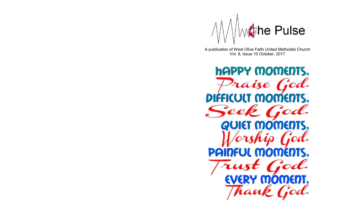

A publication of West Olive Faith United Methodist Church Vol. 8, Issue 10 October, 2017

**hAPPY MOMENTS.** raise God. DIFFICULT MOMENTS, **QUIET MOMENTS,** PAI INFUL MOMEN EVERY OMENT. d.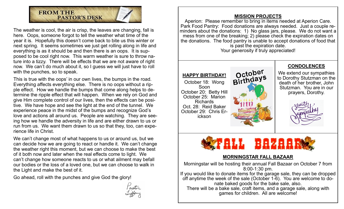

The weather is cool, the air is crisp, the leaves are changing, fall is here. Oops, someone forgot to tell the weather what time of the year it is. Hopefully this doesn't come back to bite us this winter or next spring. It seems sometimes we just get rolling along in life and everything is as it should be and then there is an oops. It is supposed to be cool right now. This warm weather is sure to throw nature into a tizzy. There will be effects that we are not aware of right now. We can't do much about it, so I guess we will just have to roll with the punches, so to speak.

This is true with the oops' in our own lives, the bumps in the road. Everything affects everything else. There is no oops without a ripple effect. How we handle the bumps that come along helps to determine the ripple effect that will happen. When we rely on God and give Him complete control of our lives, then the effects can be positive. We have hope and see the light at the end of the tunnel. We experience peace in the midst of the bumps and recognize God's love and actions all around us. People are watching. They are seeing how we handle the adversity in life and are either drawn to us or run from us. We want them drawn to us so that they, too, can experience life in Christ.

We can't change most of what happens to us or around us, but we can decide how we are going to react or handle it. We can't change the weather right this moment, but we can choose to make the best of it both now and later when the real effects come to light. We can't change how someone reacts to us or what ailment may befall our bodies or the loss of a loved one, but we can choose to walk in the Light and make the best of it.

Go ahead, roll with the punches and give God the glory!



#### **MISSION PROJECTS**

Aperion: Please remember to bring in items needed at Aperion Care. Park Food Pantry: Food donations are always needed. Just a couple reminders about the donations: 1) No glass jars, please. We do not want a mess from one of the breaking; 2) please check the expiration dates on the donations. The food pantry is unable to accept donations of food that is past the expiration date. Your generosity if truly appreciated!



#### **MORNINGSTAR FALL BAZAAR**

Morningstar will be hosting their annual Fall Bazaar on October 7 from 8:00-1:30 pm. If you would like to donate items for the garage sale, they can be dropped off anytime the week of the sale (October 1-6). You are welcome to donate baked goods for the bake sale, also. There will be a bake sale, craft items, and a garage sale, along with games for children. All are welcome!